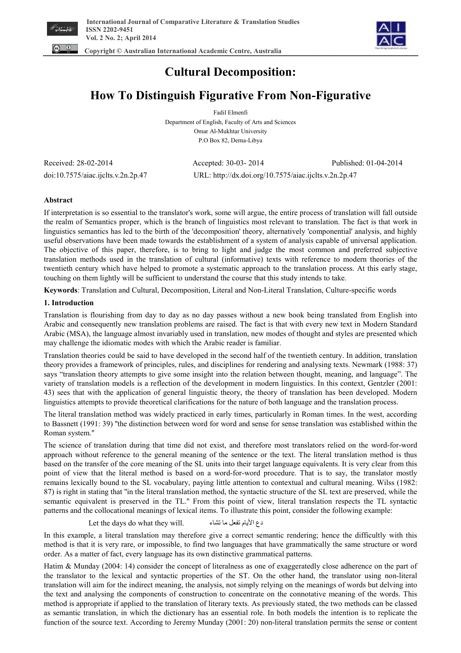



# **Cultural Decomposition:**

# **How To Distinguish Figurative From Non-Figurative**

Fadil Elmenfi Department of English, Faculty of Arts and Sciences Omar Al-Mukhtar University P.O Box 82, Derna-Libya

Received: 28-02-2014 Accepted: 30-03- 2014 Published: 01-04-2014 doi:10.7575/aiac.ijclts.v.2n.2p.47 URL: http://dx.doi.org/10.7575/aiac.ijclts.v.2n.2p.47

# **Abstract**

If interpretation is so essential to the translator's work, some will argue, the entire process of translation will fall outside the realm of Semantics proper, which is the branch of linguistics most relevant to translation. The fact is that work in linguistics semantics has led to the birth of the 'decomposition' theory, alternatively 'componential' analysis, and highly useful observations have been made towards the establishment of a system of analysis capable of universal application. The objective of this paper, therefore, is to bring to light and judge the most common and preferred subjective translation methods used in the translation of cultural (informative) texts with reference to modern theories of the twentieth century which have helped to promote a systematic approach to the translation process. At this early stage, touching on them lightly will be sufficient to understand the course that this study intends to take.

**Keywords**: Translation and Cultural, Decomposition, Literal and Non-Literal Translation, Culture-specific words

# **1. Introduction**

Translation is flourishing from day to day as no day passes without a new book being translated from English into Arabic and consequently new translation problems are raised. The fact is that with every new text in Modern Standard Arabic (MSA), the language almost invariably used in translation, new modes of thought and styles are presented which may challenge the idiomatic modes with which the Arabic reader is familiar.

Translation theories could be said to have developed in the second half of the twentieth century. In addition, translation theory provides a framework of principles, rules, and disciplines for rendering and analysing texts. Newmark (1988: 37) says "translation theory attempts to give some insight into the relation between thought, meaning, and language". The variety of translation models is a reflection of the development in modern linguistics. In this context, Gentzler (2001: 43) sees that with the application of general linguistic theory, the theory of translation has been developed. Modern linguistics attempts to provide theoretical clarifications for the nature of both language and the translation process.

The literal translation method was widely practiced in early times, particularly in Roman times. In the west, according to Bassnett (1991: 39) ''the distinction between word for word and sense for sense translation was established within the Roman system.''

The science of translation during that time did not exist, and therefore most translators relied on the word-for-word approach without reference to the general meaning of the sentence or the text. The literal translation method is thus based on the transfer of the core meaning of the SL units into their target language equivalents. It is very clear from this point of view that the literal method is based on a word-for-word procedure. That is to say, the translator mostly remains lexically bound to the SL vocabulary, paying little attention to contextual and cultural meaning. Wilss (1982: 87) is right in stating that ''in the literal translation method, the syntactic structure of the SL text are preserved, while the semantic equivalent is preserved in the TL.'' From this point of view, literal translation respects the TL syntactic patterns and the collocational meanings of lexical items. To illustrate this point, consider the following example:

Let the days do what they will. تشاء ما تفعل الأیام دع

In this example, a literal translation may therefore give a correct semantic rendering; hence the difficultly with this method is that it is very rare, or impossible, to find two languages that have grammatically the same structure or word order. As a matter of fact, every language has its own distinctive grammatical patterns.

Hatim & Munday (2004: 14) consider the concept of literalness as one of exaggeratedly close adherence on the part of the translator to the lexical and syntactic properties of the ST. On the other hand, the translator using non-literal translation will aim for the indirect meaning, the analysis, not simply relying on the meanings of words but delving into the text and analysing the components of construction to concentrate on the connotative meaning of the words. This method is appropriate if applied to the translation of literary texts. As previously stated, the two methods can be classed as semantic translation, in which the dictionary has an essential role. In both models the intention is to replicate the function of the source text. According to Jeremy Munday (2001: 20) non-literal translation permits the sense or content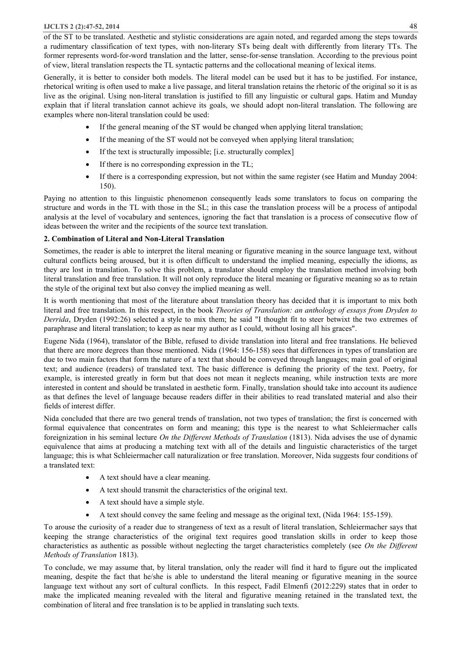of the ST to be translated. Aesthetic and stylistic considerations are again noted, and regarded among the steps towards a rudimentary classification of text types, with non-literary STs being dealt with differently from literary TTs. The former represents word-for-word translation and the latter, sense-for-sense translation. According to the previous point of view, literal translation respects the TL syntactic patterns and the collocational meaning of lexical items.

Generally, it is better to consider both models. The literal model can be used but it has to be justified. For instance, rhetorical writing is often used to make a live passage, and literal translation retains the rhetoric of the original so it is as live as the original. Using non-literal translation is justified to fill any linguistic or cultural gaps. Hatim and Munday explain that if literal translation cannot achieve its goals, we should adopt non-literal translation. The following are examples where non-literal translation could be used:

- If the general meaning of the ST would be changed when applying literal translation;
- If the meaning of the ST would not be conveyed when applying literal translation;
- If the text is structurally impossible; [i.e. structurally complex]
- If there is no corresponding expression in the TL;
- · If there is a corresponding expression, but not within the same register (see Hatim and Munday 2004: 150).

Paying no attention to this linguistic phenomenon consequently leads some translators to focus on comparing the structure and words in the TL with those in the SL; in this case the translation process will be a process of antipodal analysis at the level of vocabulary and sentences, ignoring the fact that translation is a process of consecutive flow of ideas between the writer and the recipients of the source text translation.

# **2. Combination of Literal and Non-Literal Translation**

Sometimes, the reader is able to interpret the literal meaning or figurative meaning in the source language text, without cultural conflicts being aroused, but it is often difficult to understand the implied meaning, especially the idioms, as they are lost in translation. To solve this problem, a translator should employ the translation method involving both literal translation and free translation. It will not only reproduce the literal meaning or figurative meaning so as to retain the style of the original text but also convey the implied meaning as well.

It is worth mentioning that most of the literature about translation theory has decided that it is important to mix both literal and free translation. In this respect, in the book *Theories of Translation: an anthology of essays from Dryden to Derrida*, Dryden (1992:26) selected a style to mix them; he said "I thought fit to steer betwixt the two extremes of paraphrase and literal translation; to keep as near my author as I could, without losing all his graces".

Eugene Nida (1964), translator of the Bible, refused to divide translation into literal and free translations. He believed that there are more degrees than those mentioned. Nida (1964: 156-158) sees that differences in types of translation are due to two main factors that form the nature of a text that should be conveyed through languages; main goal of original text; and audience (readers) of translated text. The basic difference is defining the priority of the text. Poetry, for example, is interested greatly in form but that does not mean it neglects meaning, while instruction texts are more interested in content and should be translated in aesthetic form. Finally, translation should take into account its audience as that defines the level of language because readers differ in their abilities to read translated material and also their fields of interest differ.

Nida concluded that there are two general trends of translation, not two types of translation; the first is concerned with formal equivalence that concentrates on form and meaning; this type is the nearest to what Schleiermacher calls foreignization in his seminal lecture *On the Different Methods of Translation* (1813). Nida advises the use of dynamic equivalence that aims at producing a matching text with all of the details and linguistic characteristics of the target language; this is what Schleiermacher call naturalization or free translation. Moreover, Nida suggests four conditions of a translated text:

- A text should have a clear meaning.
- · A text should transmit the characteristics of the original text.
- A text should have a simple style.
- · A text should convey the same feeling and message as the original text, (Nida 1964: 155-159).

To arouse the curiosity of a reader due to strangeness of text as a result of literal translation, Schleiermacher says that keeping the strange characteristics of the original text requires good translation skills in order to keep those characteristics as authentic as possible without neglecting the target characteristics completely (see *On the Different Methods of Translation* 1813).

To conclude, we may assume that, by literal translation, only the reader will find it hard to figure out the implicated meaning, despite the fact that he/she is able to understand the literal meaning or figurative meaning in the source language text without any sort of cultural conflicts. In this respect, Fadil Elmenfi (2012:229) states that in order to make the implicated meaning revealed with the literal and figurative meaning retained in the translated text, the combination of literal and free translation is to be applied in translating such texts.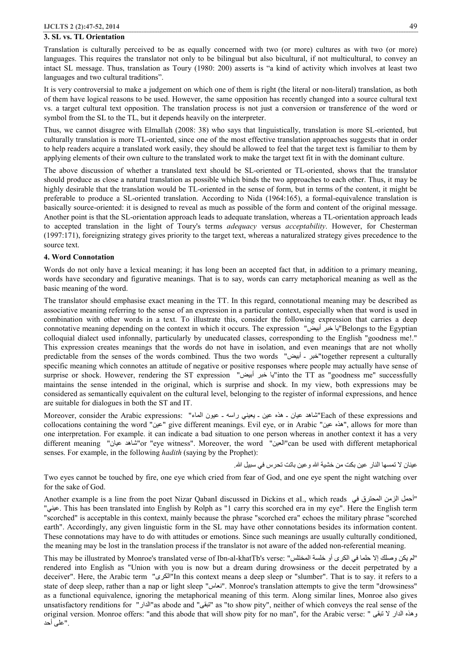## **3. SL vs. TL Orientation**

Translation is culturally perceived to be as equally concerned with two (or more) cultures as with two (or more) languages. This requires the translator not only to be bilingual but also bicultural, if not multicultural, to convey an intact SL message. Thus, translation as Toury (1980: 200) asserts is "a kind of activity which involves at least two languages and two cultural traditions".

It is very controversial to make a judgement on which one of them is right (the literal or non-literal) translation, as both of them have logical reasons to be used. However, the same opposition has recently changed into a source cultural text vs. a target cultural text opposition. The translation process is not just a conversion or transference of the word or symbol from the SL to the TL, but it depends heavily on the interpreter.

Thus, we cannot disagree with Elmallah (2008: 38) who says that linguistically, translation is more SL-oriented, but culturally translation is more TL-oriented, since one of the most effective translation approaches suggests that in order to help readers acquire a translated work easily, they should be allowed to feel that the target text is familiar to them by applying elements of their own culture to the translated work to make the target text fit in with the dominant culture.

The above discussion of whether a translated text should be SL-oriented or TL-oriented, shows that the translator should produce as close a natural translation as possible which binds the two approaches to each other. Thus, it may be highly desirable that the translation would be TL-oriented in the sense of form, but in terms of the content, it might be preferable to produce a SL-oriented translation. According to Nida (1964:165), a formal-equivalence translation is basically source-oriented: it is designed to reveal as much as possible of the form and content of the original message. Another point is that the SL-orientation approach leads to adequate translation, whereas a TL-orientation approach leads to accepted translation in the light of Toury's terms *adequacy* versus *acceptability*. However, for Chesterman (1997:171), foreignizing strategy gives priority to the target text, whereas a naturalized strategy gives precedence to the source text.

#### **4. Word Connotation**

Words do not only have a lexical meaning; it has long been an accepted fact that, in addition to a primary meaning, words have secondary and figurative meanings. That is to say, words can carry metaphorical meaning as well as the basic meaning of the word.

The translator should emphasise exact meaning in the TT. In this regard, connotational meaning may be described as associative meaning referring to the sense of an expression in a particular context, especially when that word is used in combination with other words in a text. To illustrate this, consider the following expression that carries a deep connotative meaning depending on the context in which it occurs. The expression "أبیض خبر یا"Belongs to the Egyptian colloquial dialect used infonnally, particularly by uneducated classes, corresponding to the English "goodness me!." This expression creates meanings that the words do not have in isolation, and even meanings that are not wholly predictable from the senses of the words combined. Thus the two words "أبیض ـ خبر"together represent a culturally specific meaning which connotes an attitude of negative or positive responses where people may actually have sense of surprise or shock. However, rendering the ST expression "أبیض خبر یا"into the TT as "goodness me" successfully maintains the sense intended in the original, which is surprise and shock. In my view, both expressions may be considered as semantically equivalent on the cultural level, belonging to the register of informal expressions, and hence are suitable for dialogues in both the ST and IT.

Moreover, consider the Arabic expressions: "شاهد عیان ـ هذه عین ـ یعیني راسه ـ عیون الماء" . عیون الماءة " عی collocations containing the word "عین "give different meanings. Evil eye, or in Arabic "عین ھذه", allows for more than one interpretation. For example. it can indicate a bad situation to one person whereas in another context it has a very different meaning "عیان شاھد"or "eye witness". Moreover, the word "العین"can be used with different metaphorical senses. For example, in the following *hadith* (saying by the Prophet):

عینان لا تمسھا النار عین بكت من خشیة الله وعین باتت تحرس في سبیل الله.

Two eyes cannot be touched by fire, one eye which cried from fear of God, and one eye spent the night watching over for the sake of God.

Another example is a line from the poet Nizar QabanI discussed in Dickins et aI., which reads في Another example is a line from the poet Nizar QabanI discussed in Dickins et aI., which reads "عیني. This has been translated into English by Rolph as "1 carry this scorched era in my eye". Here the English term "scorched" is acceptable in this context, mainly because the phrase "scorched era" echoes the military phrase "scorched earth". Accordingly, any given linguistic form in the SL may have other connotations besides its information content. These connotations may have to do with attitudes or emotions. Since such meanings are usually culturally conditioned, the meaning may be lost in the translation process if the translator is not aware of the added non-referential meaning.

This may be illustrated by Monroe's translated verse of Ibn-al-khatTb's verse: "المختلس خلسة أو الكرى في حلما إلا وصلك یكن لم" rendered into English as "Union with you is now but a dream during drowsiness or the deceit perpetrated by a deceiver". Here, the Arabic term "الكرى"In this context means a deep sleep or "slumber". That is to say. it refers to a state of deep sleep, rather than a nap or light sleep "نعاس". Monroe's translation attempts to give the term "drowsiness" as a functional equivalence, ignoring the metaphorical meaning of this term. Along similar lines, Monroe also gives unsatisfactory renditions for "الدار"as abode and "تبقى "as "to show pity", neither of which conveys the real sense of the original version. Monroe offers: "and this abode that will show pity for no man", for the Arabic verse: " تبقى لا الدار وھذه ."على أحد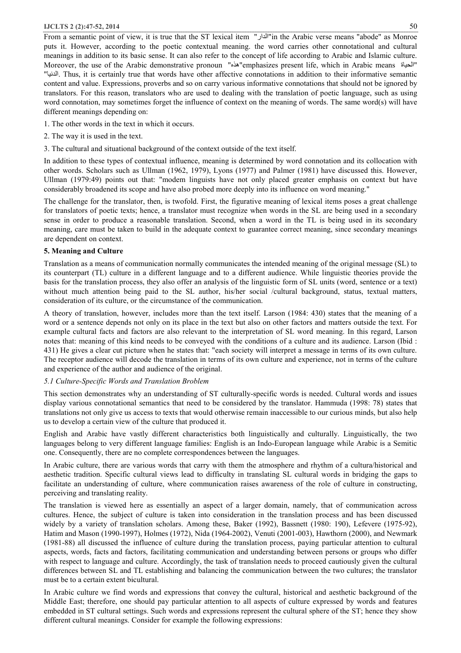#### **IJCLTS 2 (2):47-52, 2014** 50

From a semantic point of view, it is true that the ST lexical item "الدار"in the Arabic verse means "abode" as Monroe puts it. However, according to the poetic contextual meaning. the word carries other connotational and cultural meanings in addition to its basic sense. It can also refer to the concept of life according to Arabic and Islamic culture. Moreover, the use of the Arabic demonstrative pronoun "ھذه"emphasizes present life, which in Arabic means الحیاة" "الدنیا. Thus, it is certainly true that words have other affective connotations in addition to their informative semantic content and value. Expressions, proverbs and so on carry various informative connotations that should not be ignored by translators. For this reason, translators who are used to dealing with the translation of poetic language, such as using word connotation, may sometimes forget the influence of context on the meaning of words. The same word(s) will have different meanings depending on:

- 1. The other words in the text in which it occurs.
- 2. The way it is used in the text.
- 3. The cultural and situational background of the context outside of the text itself.

In addition to these types of contextual influence, meaning is determined by word connotation and its collocation with other words. Scholars such as Ullman (1962, 1979), Lyons (1977) and Palmer (1981) have discussed this. However, Ullman (1979:49) points out that: "modem linguists have not only placed greater emphasis on context but have considerably broadened its scope and have also probed more deeply into its influence on word meaning."

The challenge for the translator, then, is twofold. First, the figurative meaning of lexical items poses a great challenge for translators of poetic texts; hence, a translator must recognize when words in the SL are being used in a secondary sense in order to produce a reasonable translation. Second, when a word in the TL is being used in its secondary meaning, care must be taken to build in the adequate context to guarantee correct meaning, since secondary meanings are dependent on context.

# **5. Meaning and Culture**

Translation as a means of communication normally communicates the intended meaning of the original message (SL) to its counterpart (TL) culture in a different language and to a different audience. While linguistic theories provide the basis for the translation process, they also offer an analysis of the linguistic form of SL units (word, sentence or a text) without much attention being paid to the SL author, his/her social /cultural background, status, textual matters, consideration of its culture, or the circumstance of the communication.

A theory of translation, however, includes more than the text itself. Larson (1984: 430) states that the meaning of a word or a sentence depends not only on its place in the text but also on other factors and matters outside the text. For example cultural facts and factors are also relevant to the interpretation of SL word meaning. In this regard, Larson notes that: meaning of this kind needs to be conveyed with the conditions of a culture and its audience. Larson (Ibid : 431) He gives a clear cut picture when he states that: "each society will interpret a message in terms of its own culture. The receptor audience will decode the translation in terms of its own culture and experience, not in terms of the culture and experience of the author and audience of the original.

# *5.1 Culture-Specific Words and Translation Broblem*

This section demonstrates why an understanding of ST culturally-specific words is needed. Cultural words and issues display various connotational semantics that need to be considered by the translator. Hammuda (1998: 78) states that translations not only give us access to texts that would otherwise remain inaccessible to our curious minds, but also help us to develop a certain view of the culture that produced it.

English and Arabic have vastly different characteristics both linguistically and culturally. Linguistically, the two languages belong to very different language families: English is an Indo-European language while Arabic is a Semitic one. Consequently, there are no complete correspondences between the languages.

In Arabic culture, there are various words that carry with them the atmosphere and rhythm of a cultura/historical and aesthetic tradition. Specific cultural views lead to difficulty in translating SL cultural words in bridging the gaps to facilitate an understanding of culture, where communication raises awareness of the role of culture in constructing, perceiving and translating reality.

The translation is viewed here as essentially an aspect of a larger domain, namely, that of communication across cultures. Hence, the subject of culture is taken into consideration in the translation process and has been discussed widely by a variety of translation scholars. Among these, Baker (1992), Bassnett (1980: 190), Lefevere (1975-92), Hatim and Mason (1990-1997), Holmes (1972), Nida (1964-2002), Venuti (2001-003), Hawthorn (2000), and Newmark (1981-88) all discussed the influence of culture during the translation process, paying particular attention to cultural aspects, words, facts and factors, facilitating communication and understanding between persons or groups who differ with respect to language and culture. Accordingly, the task of translation needs to proceed cautiously given the cultural differences between SL and TL establishing and balancing the communication between the two cultures; the translator must be to a certain extent bicultural.

In Arabic culture we find words and expressions that convey the cultural, historical and aesthetic background of the Middle East; therefore, one should pay particular attention to all aspects of culture expressed by words and features embedded in ST cultural settings. Such words and expressions represent the cultural sphere of the ST; hence they show different cultural meanings. Consider for example the following expressions: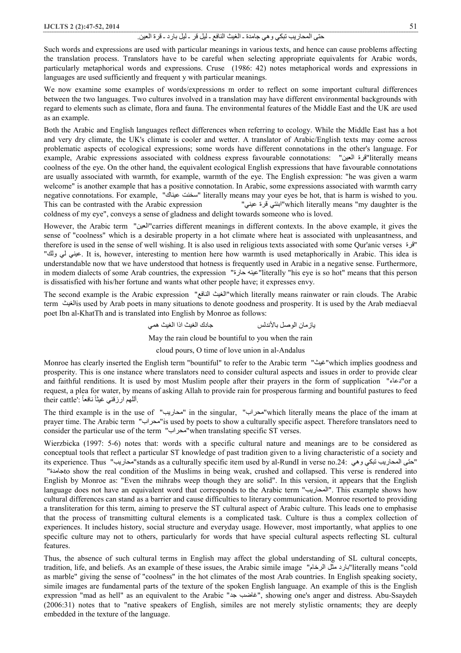### حتى المحاریب تبكي وھي جامدة ـ الغیث النافع ـ لیل قر ـ لیل بارد ـ قرة العین.

Such words and expressions are used with particular meanings in various texts, and hence can cause problems affecting the translation process. Translators have to be careful when selecting appropriate equivalents for Arabic words, particularly metaphorical words and expressions. Cruse (1986: 42) notes metaphorical words and expressions in languages are used sufficiently and frequent y with particular meanings.

We now examine some examples of words/expressions m order to reflect on some important cultural differences between the two languages. Two cultures involved in a translation may have different environmental backgrounds with regard to elements such as climate, flora and fauna. The environmental features of the Middle East and the UK are used as an example.

Both the Arabic and English languages reflect differences when referring to ecology. While the Middle East has a hot and very dry climate, the UK's climate is cooler and wetter. A translator of Arabic/English texts may come across problematic aspects of ecological expressions; some words have different connotations in the other's language. For example, Arabic expressions associated with coldness express favourable connotations: "العین قرة"literally means coolness of the eye. On the other hand, the equivalent ecological English expressions that have favourable connotations are usually associated with warmth, for example, warmth of the eye. The English expression: "he was given a warm welcome" is another example that has a positive connotation. In Arabic, some expressions associated with warmth carry negative connotations. For example, "عیناك سخنت "literally means may your eyes be hot, that is harm is wished to you. This can be contrasted with the Arabic expression "عیني قرة ابنتي"which literally means "my daughter is the coldness of my eye", conveys a sense of gladness and delight towards someone who is loved.

However, the Arabic term "العین"carries different meanings in different contexts. In the above example, it gives the sense of "coolness" which is a desirable property in a hot climate where heat is associated with unpleasantness, and therefore is used in the sense of well wishing. It is also used in religious texts associated with some Qur'anic verses قرة" "ولك لي عیني. It is, however, interesting to mention here how warmth is used metaphorically in Arabic. This idea is understandable now that we have understood that hotness is frequently used in Arabic in a negative sense. Furthermore, in modem dialects of some Arab countries, the expression "حارة عینھ"literally "his eye is so hot" means that this person is dissatisfied with his/her fortune and wants what other people have; it expresses envy.

The second example is the Arabic expression "النافع الغیث"which literally means rainwater or rain clouds. The Arabic term الغیثis used by Arab poets in many situations to denote goodness and prosperity. It is used by the Arab mediaeval poet Ibn al-KhatTh and is translated into English by Monroe as follows:

یازمان الوصل بالأندلس جادك الغیث اذا الغیث ھمي

May the rain cloud be bountiful to you when the rain

cloud pours, O time of love union in al-Andalus

Monroe has clearly inserted the English term "bountiful" to refer to the Arabic term "غیث"which implies goodness and prosperity. This is one instance where translators need to consider cultural aspects and issues in order to provide clear and faithful renditions. It is used by most Muslim people after their prayers in the form of supplication "دعاء"or a request, a plea for water, by means of asking Allah to provide rain for prosperous farming and bountiful pastures to feed their cattle': أَللهِمْ ارزِقني غيثاً نافعاً.

The third example is in the use of "محاریب "in the singular, "محراب"which literally means the place of the imam at prayer time. The Arabic term "محراب"is used by poets to show a culturally specific aspect. Therefore translators need to consider the particular use of the term "محراب"when translating specific ST verses.

Wierzbicka (1997: 5-6) notes that: words with a specific cultural nature and meanings are to be considered as conceptual tools that reflect a particular ST knowledge of past tradition given to a living characteristic of a society and its experience. Thus "محاریب"stands as a culturally specific item used by al-RundI in verse no.24: وھي تبكي المحاریب حتى" "جامدةto show the real condition of the Muslims in being weak, crushed and collapsed. This verse is rendered into English by Monroe as: "Even the mihrabs weep though they are solid". In this version, it appears that the English language does not have an equivalent word that corresponds to the Arabic term "المحاریب". This example shows how cultural differences can stand as a barrier and cause difficulties to literary communication. Monroe resorted to providing a transliteration for this term, aiming to preserve the ST cultural aspect of Arabic culture. This leads one to emphasise that the process of transmitting cultural elements is a complicated task. Culture is thus a complex collection of experiences. It includes history, social structure and everyday usage. However, most importantly, what applies to one specific culture may not to others, particularly for words that have special cultural aspects reflecting SL cultural features.

Thus, the absence of such cultural terms in English may affect the global understanding of SL cultural concepts, tradition, life, and beliefs. As an example of these issues, the Arabic simile image "الرخام مثل بارد"literally means "cold as marble" giving the sense of "coolness" in the hot climates of the most Arab countries. In English speaking society, simile images are fundamental parts of the texture of the spoken English language. An example of this is the English expression "mad as hell" as an equivalent to the Arabic "جد غاضب", showing one's anger and distress. Abu-Ssaydeh (2006:31) notes that to "native speakers of English, similes are not merely stylistic ornaments; they are deeply embedded in the texture of the language.